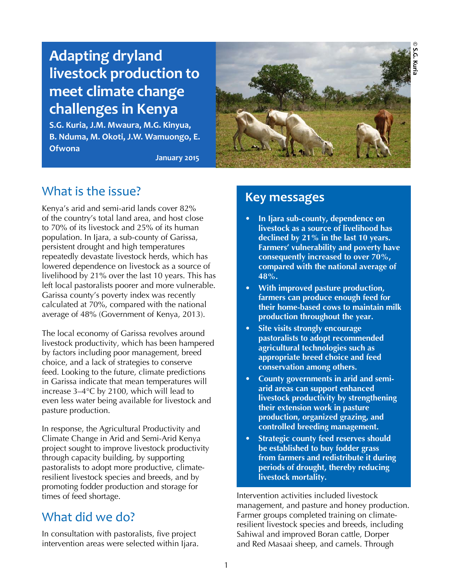## **© S.G. Kuria**S.G. Kuria

# **Adapting dryland livestock production to meet climate change challenges in Kenya**

**S.G. Kuria, J.M. Mwaura, M.G. Kinyua, B. Nduma, M. Okoti, J.W. Wamuongo, E. Ofwona**

**January 2015**



## What is the issue?

Kenya's arid and semi-arid lands cover 82% of the country's total land area, and host close to 70% of its livestock and 25% of its human population. In Ijara, a sub-county of Garissa, persistent drought and high temperatures repeatedly devastate livestock herds, which has lowered dependence on livestock as a source of livelihood by 21% over the last 10 years. This has left local pastoralists poorer and more vulnerable. Garissa county's poverty index was recently calculated at 70%, compared with the national average of 48% (Government of Kenya, 2013).

The local economy of Garissa revolves around livestock productivity, which has been hampered by factors including poor management, breed choice, and a lack of strategies to conserve feed. Looking to the future, climate predictions in Garissa indicate that mean temperatures will increase 3–4°C by 2100, which will lead to even less water being available for livestock and pasture production.

In response, the Agricultural Productivity and Climate Change in Arid and Semi-Arid Kenya project sought to improve livestock productivity through capacity building, by supporting pastoralists to adopt more productive, climateresilient livestock species and breeds, and by promoting fodder production and storage for times of feed shortage.

## What did we do?

In consultation with pastoralists, five project intervention areas were selected within Ijara.

## **Key messages**

- **• In Ijara sub-county, dependence on livestock as a source of livelihood has declined by 21% in the last 10 years. Farmers' vulnerability and poverty have consequently increased to over 70%, compared with the national average of 48%.**
- **• With improved pasture production, farmers can produce enough feed for their home-based cows to maintain milk production throughout the year.**
- **• Site visits strongly encourage pastoralists to adopt recommended agricultural technologies such as appropriate breed choice and feed conservation among others.**
- **• County governments in arid and semiarid areas can support enhanced livestock productivity by strengthening their extension work in pasture production, organized grazing, and controlled breeding management.**
- **• Strategic county feed reserves should be established to buy fodder grass from farmers and redistribute it during periods of drought, thereby reducing livestock mortality.**

Intervention activities included livestock management, and pasture and honey production. Farmer groups completed training on climateresilient livestock species and breeds, including Sahiwal and improved Boran cattle, Dorper and Red Masaai sheep, and camels. Through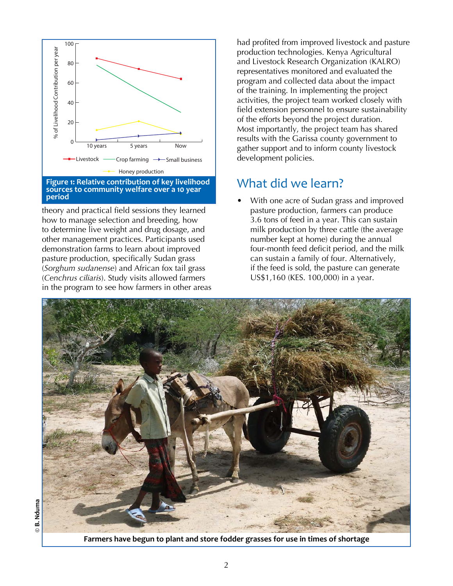

theory and practical field sessions they learned how to manage selection and breeding, how to determine live weight and drug dosage, and other management practices. Participants used demonstration farms to learn about improved pasture production, specifically Sudan grass (*Sorghum sudanense*) and African fox tail grass (*Cenchrus ciliaris*). Study visits allowed farmers in the program to see how farmers in other areas had profited from improved livestock and pasture production technologies. Kenya Agricultural and Livestock Research Organization (KALRO) representatives monitored and evaluated the program and collected data about the impact of the training. In implementing the project activities, the project team worked closely with field extension personnel to ensure sustainability of the efforts beyond the project duration. Most importantly, the project team has shared results with the Garissa county government to gather support and to inform county livestock development policies.

## What did we learn?

• With one acre of Sudan grass and improved pasture production, farmers can produce 3.6 tons of feed in a year. This can sustain milk production by three cattle (the average number kept at home) during the annual four-month feed deficit period, and the milk can sustain a family of four. Alternatively, if the feed is sold, the pasture can generate US\$1,160 (KES. 100,000) in a year.



**Farmers have begun to plant and store fodder grasses for use in times of shortage**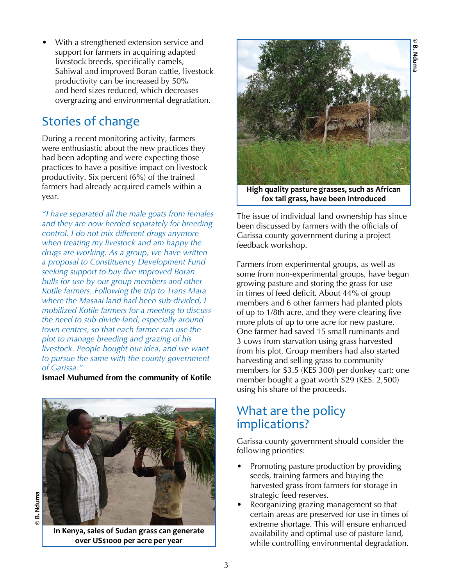• With a strengthened extension service and support for farmers in acquiring adapted livestock breeds, specifically camels, Sahiwal and improved Boran cattle, livestock productivity can be increased by 50% and herd sizes reduced, which decreases overgrazing and environmental degradation.

## Stories of change

During a recent monitoring activity, farmers were enthusiastic about the new practices they had been adopting and were expecting those practices to have a positive impact on livestock productivity. Six percent (6%) of the trained farmers had already acquired camels within a year.

*"I have separated all the male goats from females and they are now herded separately for breeding control. I do not mix different drugs anymore when treating my livestock and am happy the drugs are working. As a group, we have written a proposal to Constituency Development Fund seeking support to buy five improved Boran bulls for use by our group members and other Kotile farmers. Following the trip to Trans Mara where the Masaai land had been sub-divided, I mobilized Kotile farmers for a meeting to discuss the need to sub-divide land, especially around town centres, so that each farmer can use the plot to manage breeding and grazing of his livestock. People bought our idea, and we want to pursue the same with the county government of Garissa."* 

**Ismael Muhumed from the community of Kotile**



**In Kenya, sales of Sudan grass can generate over US\$1000 per acre per year**

**© B. Nduma**

 $\odot$ 

B. Nduma



**© B. NdumaB. Nduma** 

**High quality pasture grasses, such as African fox tail grass, have been introduced**

The issue of individual land ownership has since been discussed by farmers with the officials of Garissa county government during a project feedback workshop.

Farmers from experimental groups, as well as some from non-experimental groups, have begun growing pasture and storing the grass for use in times of feed deficit. About 44% of group members and 6 other farmers had planted plots of up to 1/8th acre, and they were clearing five more plots of up to one acre for new pasture. One farmer had saved 15 small ruminants and 3 cows from starvation using grass harvested from his plot. Group members had also started harvesting and selling grass to community members for \$3.5 (KES 300) per donkey cart; one member bought a goat worth \$29 (KES. 2,500) using his share of the proceeds.

# What are the policy implications?

Garissa county government should consider the following priorities:

- Promoting pasture production by providing seeds, training farmers and buying the harvested grass from farmers for storage in strategic feed reserves.
- Reorganizing grazing management so that certain areas are preserved for use in times of extreme shortage. This will ensure enhanced availability and optimal use of pasture land, while controlling environmental degradation.